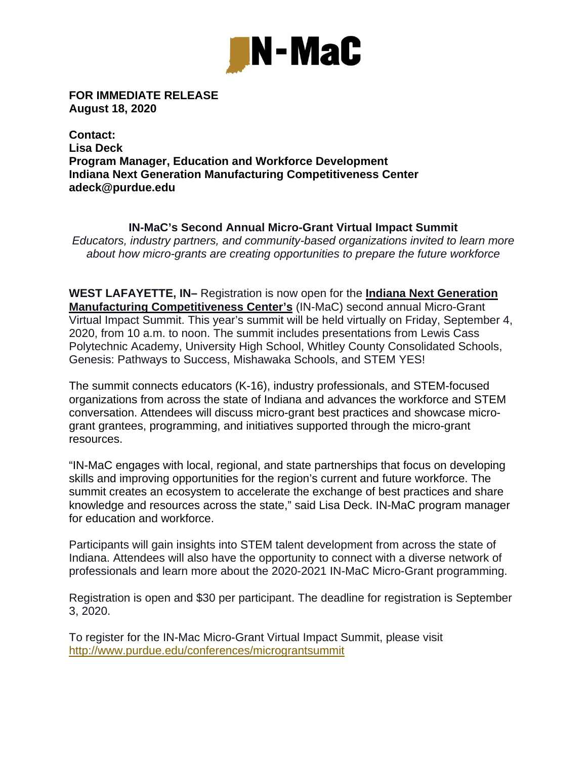

**FOR IMMEDIATE RELEASE August 18, 2020** 

**Contact: Lisa Deck Program Manager, Education and Workforce Development Indiana Next Generation Manufacturing Competitiveness Center adeck@purdue.edu** 

**IN-MaC's Second Annual Micro-Grant Virtual Impact Summit**  *Educators, industry partners, and community-based organizations invited to learn more about how micro-grants are creating opportunities to prepare the future workforce*

**WEST LAFAYETTE, IN–** Registration is now open for the **Indiana Next Generation Manufacturing Competitiveness Center's** (IN-MaC) second annual Micro-Grant Virtual Impact Summit. This year's summit will be held virtually on Friday, September 4, 2020, from 10 a.m. to noon. The summit includes presentations from Lewis Cass Polytechnic Academy, University High School, Whitley County Consolidated Schools, Genesis: Pathways to Success, Mishawaka Schools, and STEM YES!

The summit connects educators (K-16), industry professionals, and STEM-focused organizations from across the state of Indiana and advances the workforce and STEM conversation. Attendees will discuss micro-grant best practices and showcase microgrant grantees, programming, and initiatives supported through the micro-grant resources.

"IN-MaC engages with local, regional, and state partnerships that focus on developing skills and improving opportunities for the region's current and future workforce. The summit creates an ecosystem to accelerate the exchange of best practices and share knowledge and resources across the state," said Lisa Deck. IN-MaC program manager for education and workforce.

Participants will gain insights into STEM talent development from across the state of Indiana. Attendees will also have the opportunity to connect with a diverse network of professionals and learn more about the 2020-2021 IN-MaC Micro-Grant programming.

Registration is open and \$30 per participant. The deadline for registration is September 3, 2020.

To register for the IN-Mac Micro-Grant Virtual Impact Summit, please visit http://www.purdue.edu/conferences/micrograntsummit